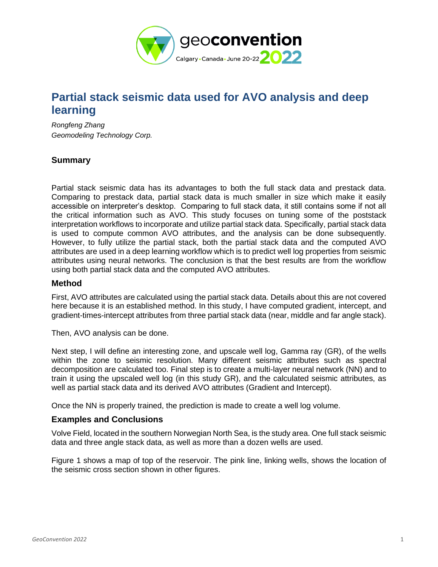

# **Partial stack seismic data used for AVO analysis and deep learning**

*Rongfeng Zhang Geomodeling Technology Corp.*

# **Summary**

Partial stack seismic data has its advantages to both the full stack data and prestack data. Comparing to prestack data, partial stack data is much smaller in size which make it easily accessible on interpreter's desktop. Comparing to full stack data, it still contains some if not all the critical information such as AVO. This study focuses on tuning some of the poststack interpretation workflows to incorporate and utilize partial stack data. Specifically, partial stack data is used to compute common AVO attributes, and the analysis can be done subsequently. However, to fully utilize the partial stack, both the partial stack data and the computed AVO attributes are used in a deep learning workflow which is to predict well log properties from seismic attributes using neural networks. The conclusion is that the best results are from the workflow using both partial stack data and the computed AVO attributes.

#### **Method**

First, AVO attributes are calculated using the partial stack data. Details about this are not covered here because it is an established method. In this study, I have computed gradient, intercept, and gradient-times-intercept attributes from three partial stack data (near, middle and far angle stack).

Then, AVO analysis can be done.

Next step, I will define an interesting zone, and upscale well log, Gamma ray (GR), of the wells within the zone to seismic resolution. Many different seismic attributes such as spectral decomposition are calculated too. Final step is to create a multi-layer neural network (NN) and to train it using the upscaled well log (in this study GR), and the calculated seismic attributes, as well as partial stack data and its derived AVO attributes (Gradient and Intercept).

Once the NN is properly trained, the prediction is made to create a well log volume.

### **Examples and Conclusions**

Volve Field, located in the southern Norwegian North Sea, is the study area. One full stack seismic data and three angle stack data, as well as more than a dozen wells are used.

Figure 1 shows a map of top of the reservoir. The pink line, linking wells, shows the location of the seismic cross section shown in other figures.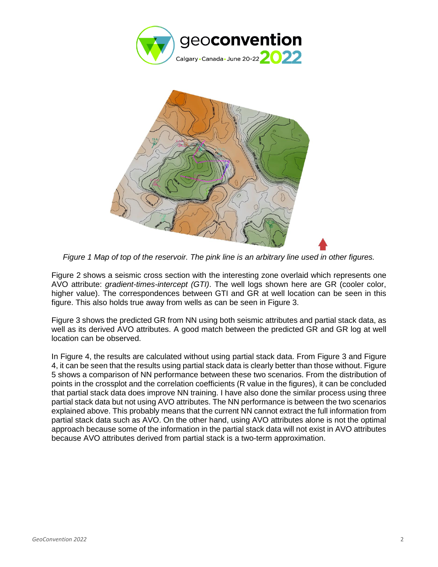



*Figure 1 Map of top of the reservoir. The pink line is an arbitrary line used in other figures.*

Figure 2 shows a seismic cross section with the interesting zone overlaid which represents one AVO attribute: *gradient-times-intercept (GTI)*. The well logs shown here are GR (cooler color, higher value). The correspondences between GTI and GR at well location can be seen in this figure. This also holds true away from wells as can be seen in Figure 3.

Figure 3 shows the predicted GR from NN using both seismic attributes and partial stack data, as well as its derived AVO attributes. A good match between the predicted GR and GR log at well location can be observed.

In Figure 4, the results are calculated without using partial stack data. From Figure 3 and Figure 4, it can be seen that the results using partial stack data is clearly better than those without. Figure 5 shows a comparison of NN performance between these two scenarios. From the distribution of points in the crossplot and the correlation coefficients (R value in the figures), it can be concluded that partial stack data does improve NN training. I have also done the similar process using three partial stack data but not using AVO attributes. The NN performance is between the two scenarios explained above. This probably means that the current NN cannot extract the full information from partial stack data such as AVO. On the other hand, using AVO attributes alone is not the optimal approach because some of the information in the partial stack data will not exist in AVO attributes because AVO attributes derived from partial stack is a two-term approximation.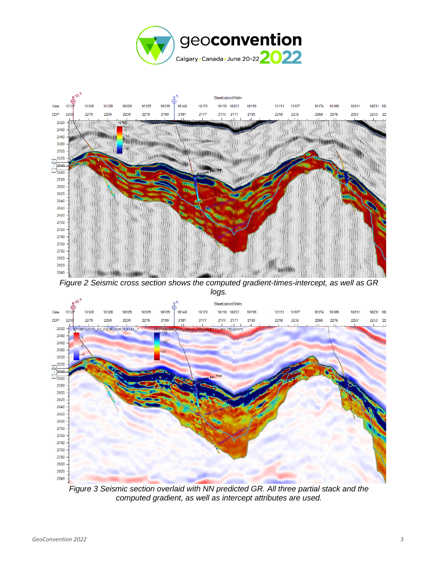



*Figure 3 Seismic section overlaid with NN predicted GR. All three partial stack and the computed gradient, as well as intercept attributes are used.*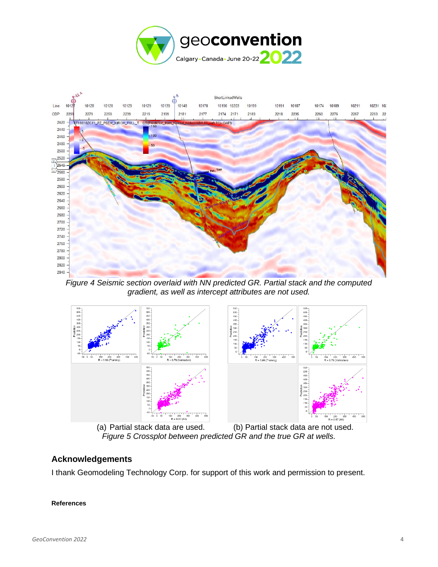



*Figure 4 Seismic section overlaid with NN predicted GR. Partial stack and the computed gradient, as well as intercept attributes are not used.*



(a) Partial stack data are used. (b) Partial stack data are not used. *Figure 5 Crossplot between predicted GR and the true GR at wells.*

# **Acknowledgements**

I thank Geomodeling Technology Corp. for support of this work and permission to present.

#### **References**